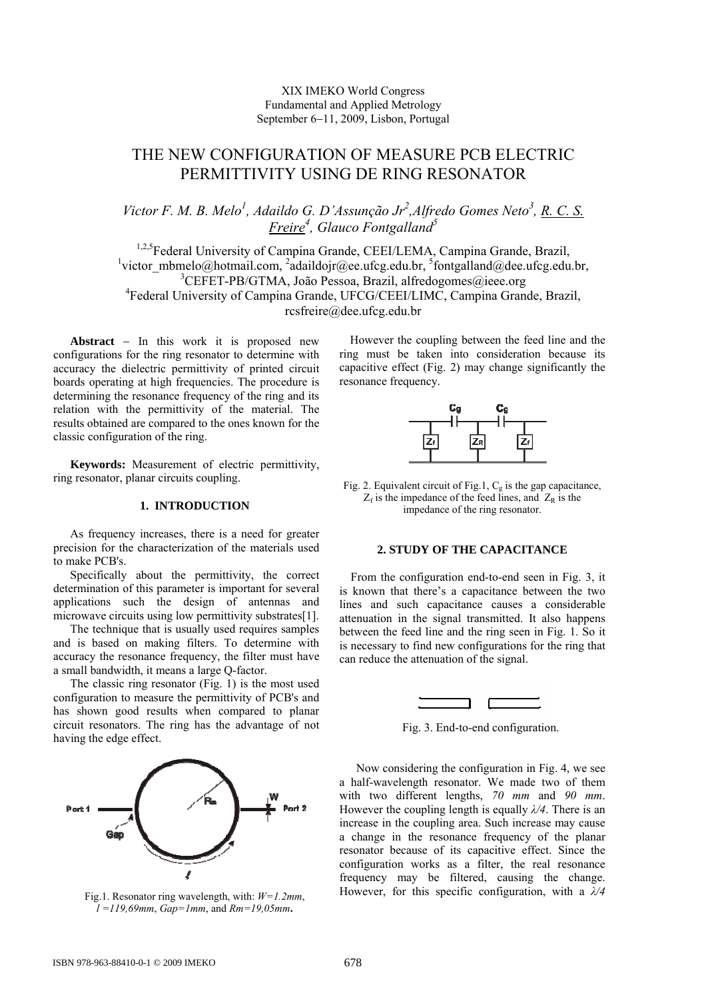## XIX IMEKO World Congress Fundamental and Applied Metrology September 6−11, 2009, Lisbon, Portugal

# THE NEW CONFIGURATION OF MEASURE PCB ELECTRIC PERMITTIVITY USING DE RING RESONATOR

## Victor F. M. B. Melo<sup>1</sup>, Adaildo G. D'Assunção Jr<sup>2</sup>, Alfredo Gomes Neto<sup>3</sup>, <u>R. C. S.</u> *Freire<sup>4</sup> , Glauco Fontgalland5*

<sup>1,2,5</sup>Federal University of Campina Grande, CEEI/LEMA, Campina Grande, Brazil, <sup>1</sup>victor\_mbmelo@hotmail.com, <sup>2</sup>adaildojr@ee.ufcg.edu.br, <sup>5</sup>fontgalland@dee.ufcg.edu.br, <sup>3</sup>CEFET-PB/GTMA, João Pessoa, Brazil, alfredogomes@ieee.org 4 Federal University of Campina Grande, UFCG/CEEI/LIMC, Campina Grande, Brazil, rcsfreire@dee.ufcg.edu.br

**Abstract** − In this work it is proposed new configurations for the ring resonator to determine with accuracy the dielectric permittivity of printed circuit boards operating at high frequencies. The procedure is determining the resonance frequency of the ring and its relation with the permittivity of the material. The results obtained are compared to the ones known for the classic configuration of the ring.

**Keywords:** Measurement of electric permittivity, ring resonator, planar circuits coupling.

## **1. INTRODUCTION**

As frequency increases, there is a need for greater precision for the characterization of the materials used to make PCB's.

Specifically about the permittivity, the correct determination of this parameter is important for several applications such the design of antennas and microwave circuits using low permittivity substrates[1].

The technique that is usually used requires samples and is based on making filters. To determine with accuracy the resonance frequency, the filter must have a small bandwidth, it means a large Q-factor.

The classic ring resonator (Fig. 1) is the most used configuration to measure the permittivity of PCB's and has shown good results when compared to planar circuit resonators. The ring has the advantage of not having the edge effect.



Fig.1. Resonator ring wavelength, with: *W=1.2mm*, *l =119,69mm*, *Gap=1mm*, and *Rm=19,05mm***.** 

However the coupling between the feed line and the ring must be taken into consideration because its capacitive effect (Fig. 2) may change significantly the resonance frequency.



Fig. 2. Equivalent circuit of Fig.1,  $C_g$  is the gap capacitance,  $Z_f$  is the impedance of the feed lines, and  $Z_R$  is the impedance of the ring resonator.

### **2. STUDY OF THE CAPACITANCE**

 From the configuration end-to-end seen in Fig. 3, it is known that there's a capacitance between the two lines and such capacitance causes a considerable attenuation in the signal transmitted. It also happens between the feed line and the ring seen in Fig. 1. So it is necessary to find new configurations for the ring that can reduce the attenuation of the signal.



Fig. 3. End-to-end configuration.

Now considering the configuration in Fig. 4, we see a half-wavelength resonator. We made two of them with two different lengths, *70 mm* and *90 mm*. However the coupling length is equally *λ/4*. There is an increase in the coupling area. Such increase may cause a change in the resonance frequency of the planar resonator because of its capacitive effect. Since the configuration works as a filter, the real resonance frequency may be filtered, causing the change. However, for this specific configuration, with a *λ/4*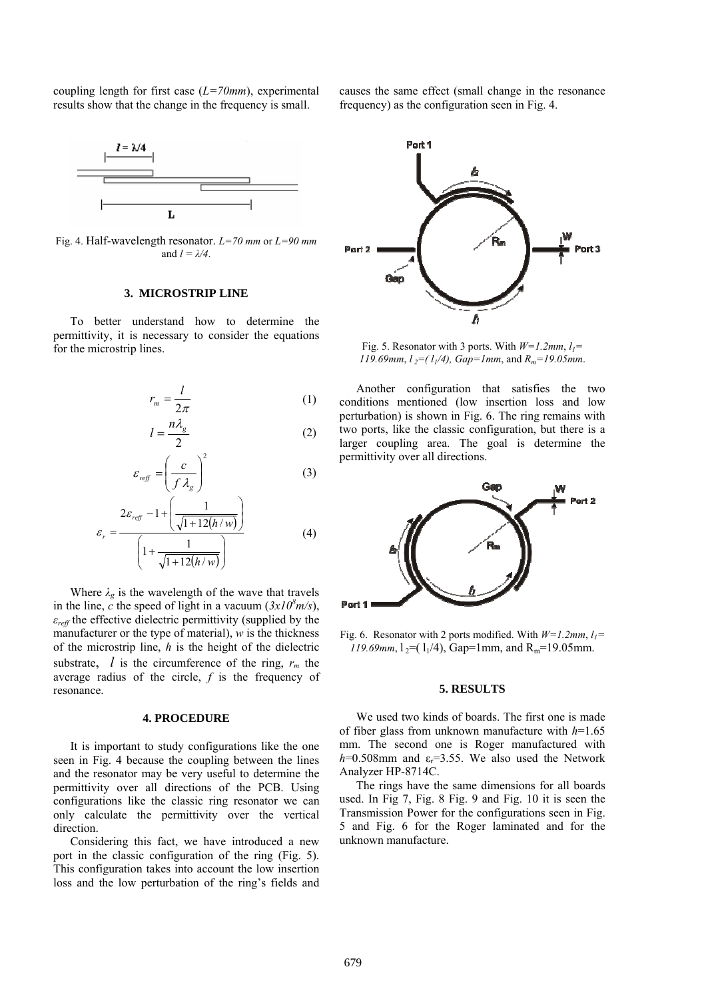coupling length for first case (*L=70mm*), experimental results show that the change in the frequency is small.



Fig. 4. Half-wavelength resonator. *L=70 mm* or *L=90 mm*  and  $l = \lambda/4$ .

## **3. MICROSTRIP LINE**

To better understand how to determine the permittivity, it is necessary to consider the equations for the microstrip lines.

$$
r_m = \frac{l}{2\pi} \tag{1}
$$

$$
l = \frac{n\lambda_g}{2} \tag{2}
$$

$$
\varepsilon_{\text{reff}} = \left(\frac{c}{f \lambda_g}\right)^2 \tag{3}
$$

$$
\varepsilon_r = \frac{2\varepsilon_{\text{ref}} - 1 + \left(\frac{1}{\sqrt{1 + 12(h/w)}}\right)}{\left(1 + \frac{1}{\sqrt{1 + 12(h/w)}}\right)}
$$
(4)

Where  $\lambda_g$  is the wavelength of the wave that travels in the line,  $\vec{c}$  the speed of light in a vacuum ( $3x10^8$ m/s), *εreff* the effective dielectric permittivity (supplied by the manufacturer or the type of material), *w* is the thickness of the microstrip line, *h* is the height of the dielectric substrate,  $l$  is the circumference of the ring,  $r_m$  the average radius of the circle, *f* is the frequency of resonance.

#### **4. PROCEDURE**

It is important to study configurations like the one seen in Fig. 4 because the coupling between the lines and the resonator may be very useful to determine the permittivity over all directions of the PCB. Using configurations like the classic ring resonator we can only calculate the permittivity over the vertical direction.

Considering this fact, we have introduced a new port in the classic configuration of the ring (Fig. 5). This configuration takes into account the low insertion loss and the low perturbation of the ring's fields and causes the same effect (small change in the resonance frequency) as the configuration seen in Fig. 4.



Fig. 5. Resonator with 3 ports. With  $W=1.2$ mm,  $l_1=$ *119.69mm*,  $l_2 = (l_1/4)$ ,  $Gap=1mm$ , and  $R_m = 19.05mm$ .

Another configuration that satisfies the two conditions mentioned (low insertion loss and low perturbation) is shown in Fig. 6. The ring remains with two ports, like the classic configuration, but there is a larger coupling area. The goal is determine the permittivity over all directions.



Fig. 6. Resonator with 2 ports modified. With  $W=1.2$ mm,  $l_1=$ *119.69mm*,  $l_2 = (l_1/4)$ , Gap=1mm, and R<sub>m</sub>=19.05mm.

#### **5. RESULTS**

We used two kinds of boards. The first one is made of fiber glass from unknown manufacture with *h*=1.65 mm. The second one is Roger manufactured with  $h=0.508$ mm and  $\varepsilon$ <sub>r</sub>=3.55. We also used the Network Analyzer HP-8714C.

The rings have the same dimensions for all boards used. In Fig 7, Fig. 8 Fig. 9 and Fig. 10 it is seen the Transmission Power for the configurations seen in Fig. 5 and Fig. 6 for the Roger laminated and for the unknown manufacture.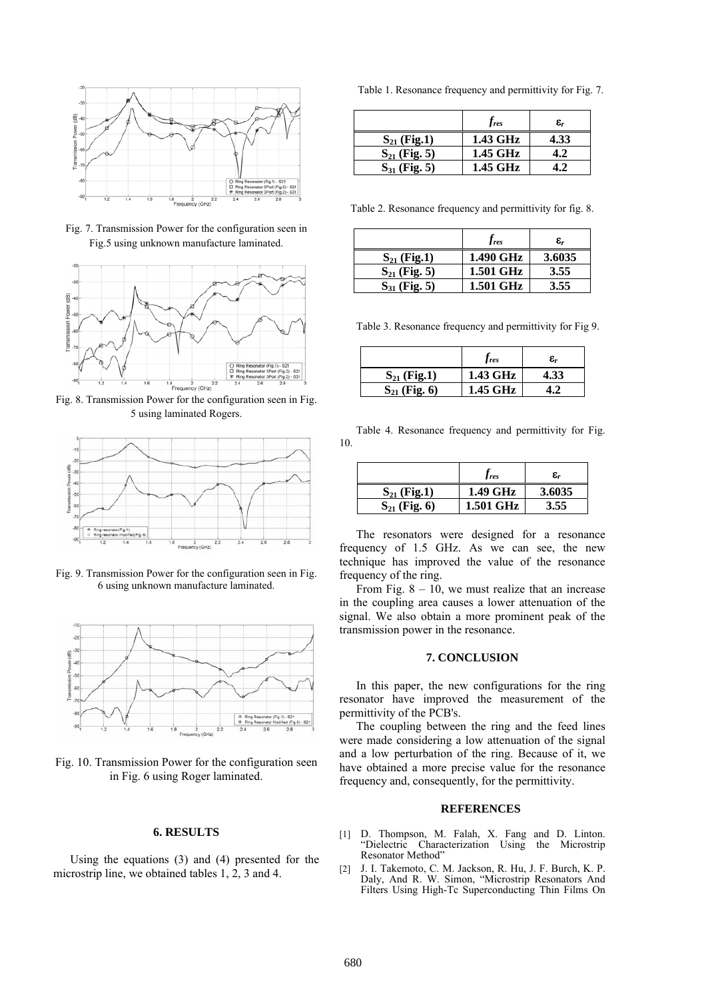

Fig. 7. Transmission Power for the configuration seen in Fig.5 using unknown manufacture laminated.



Fig. 8. Transmission Power for the configuration seen in Fig. 5 using laminated Rogers.



Fig. 9. Transmission Power for the configuration seen in Fig. 6 using unknown manufacture laminated.



Fig. 10. Transmission Power for the configuration seen in Fig. 6 using Roger laminated.

### **6. RESULTS**

Using the equations (3) and (4) presented for the microstrip line, we obtained tables 1, 2, 3 and 4.

Table 1. Resonance frequency and permittivity for Fig. 7.

|                   | $f_{res}$ | ε,   |
|-------------------|-----------|------|
| $S_{21}$ (Fig.1)  | 1.43 GHz  | 4.33 |
| $S_{21}$ (Fig. 5) | 1.45 GHz  |      |
| $S_{31}$ (Fig. 5) | 1.45 GHz  |      |

Table 2. Resonance frequency and permittivity for fig. 8.

|                   | $J_{res}$ | $\pmb{\varepsilon_r}$ |
|-------------------|-----------|-----------------------|
| $S_{21}$ (Fig.1)  | 1.490 GHz | 3.6035                |
| $S_{21}$ (Fig. 5) | 1.501 GHz | 3.55                  |
| $S_{31}$ (Fig. 5) | 1.501 GHz | 3.55                  |

Table 3. Resonance frequency and permittivity for Fig 9.

|                   | <i>Jres</i> | $\pmb{\varepsilon_r}$ |
|-------------------|-------------|-----------------------|
| $S_{21}$ (Fig.1)  | 1.43 GHz    | 4.33                  |
| $S_{21}$ (Fig. 6) | 1.45 GHz    |                       |

Table 4. Resonance frequency and permittivity for Fig. 10.

|                   | $J$ res          | $\pmb{\varepsilon_r}$ |
|-------------------|------------------|-----------------------|
| $S_{21}$ (Fig.1)  | 1.49 GHz         | 3.6035                |
| $S_{21}$ (Fig. 6) | <b>1.501 GHz</b> | 3.55                  |

The resonators were designed for a resonance frequency of 1.5 GHz. As we can see, the new technique has improved the value of the resonance frequency of the ring.

From Fig.  $8 - 10$ , we must realize that an increase in the coupling area causes a lower attenuation of the signal. We also obtain a more prominent peak of the transmission power in the resonance.

## **7. CONCLUSION**

In this paper, the new configurations for the ring resonator have improved the measurement of the permittivity of the PCB's.

The coupling between the ring and the feed lines were made considering a low attenuation of the signal and a low perturbation of the ring. Because of it, we have obtained a more precise value for the resonance frequency and, consequently, for the permittivity.

#### **REFERENCES**

- [1] D. Thompson, M. Falah, X. Fang and D. Linton. "Dielectric Characterization Using the Microstrip Resonator Method"
- [2] J. I. Takemoto, C. M. Jackson, R. Hu, J. F. Burch, K. P. Daly, And R. W. Simon, "Microstrip Resonators And Filters Using High-Tc Superconducting Thin Films On